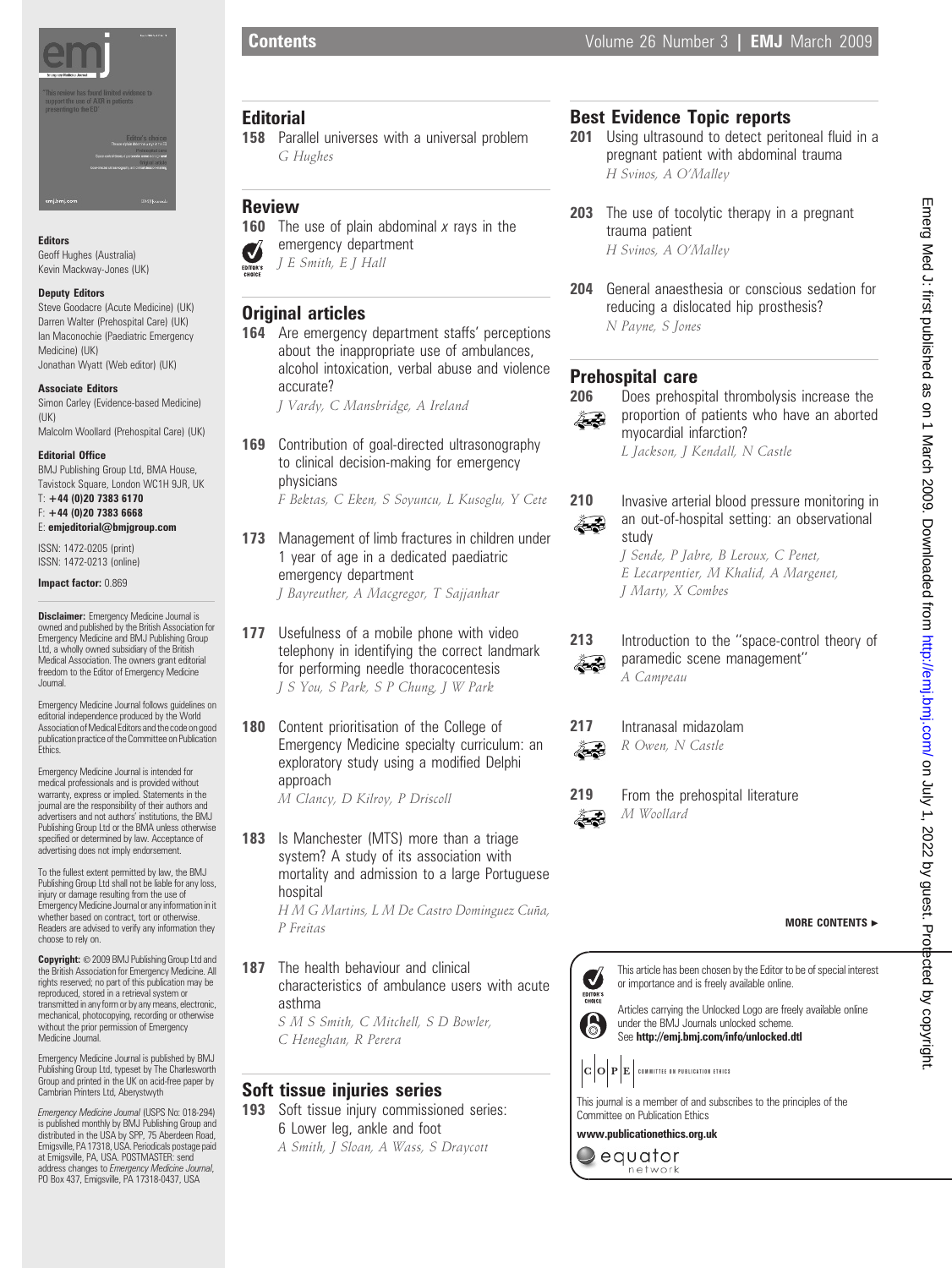

# Editors

Geoff Hughes (Australia) Kevin Mackway-Jones (UK)

#### Deputy Editors

Steve Goodacre (Acute Medicine) (UK) Darren Walter (Prehospital Care) (UK) Ian Maconochie (Paediatric Emergency Medicine) (UK) Jonathan Wyatt (Web editor) (UK)

#### Associate Editors

Simon Carley (Evidence-based Medicine) (UK) Malcolm Woollard (Prehospital Care) (UK)

#### Editorial Office

BMJ Publishing Group Ltd, BMA House, Tavistock Square, London WC1H 9JR, UK

T: +44 (0)20 7383 6170 F: +44 (0)20 7383 6668 E: emjeditorial@bmjgroup.com

ISSN: 1472-0205 (print) ISSN: 1472-0213 (online)

Impact factor: 0.869

**Disclaimer:** Emergency Medicine Journal is owned and published by the British Association for Emergency Medicine and BMJ Publishing Group Ltd, a wholly owned subsidiary of the British Medical Association. The owners grant editorial freedom to the Editor of Emergency Medicine Journal.

Emergency Medicine Journal follows guidelines on editorial independence produced by the World Association of Medical Editors and the code on good publication practice of the Committee on Publication<br>Ethics.

Emergency Medicine Journal is intended for medical professionals and is provided without warranty, express or implied. Statements in the journal are the responsibility of their authors and advertisers and not authors' institutions, the BMJ Publishing Group Ltd or the BMA unless otherwise specified or determined by law. Acceptance of advertising does not imply endorsement.

To the fullest extent permitted by law, the BMJ Publishing Group Ltd shall not be liable for any loss, injury or damage resulting from the use of Emergency Medicine Journal or any information in it whether based on contract, tort or otherwise. Readers are advised to verify any information they choose to rely on.

Copyright: © 2009 BMJ Publishing Group Ltd and the British Association for Emergency Medicine. All rights reserved; no part of this publication may be reproduced, stored in a retrieval system or transmitted in any form or by any means, electronic, mechanical, photocopying, recording or otherwise without the prior permission of Emergency Medicine Journal

Emergency Medicine Journal is published by BMJ Publishing Group Ltd, typeset by The Charlesworth Group and printed in the UK on acid-free paper by Cambrian Printers Ltd, Aberystwyth

Emergency Medicine Journal (USPS No: 018-294) is published monthly by BMJ Publishing Group and distributed in the USA by SPP, 75 Aberdeen Road, Emigsville, PA 17318, USA. Periodicals postage paid at Emigsville, PA, USA. POSTMASTER: send address changes to *Emergency Medicine Journal,*<br>PO Box 437, Emigsville, PA 17318-0437, USA

# **Editorial**

- 158 Parallel universes with a universal problem G Hughes
- Review
- **160** The use of plain abdominal  $x$  rays in the emergency department Ø J E Smith, E J Hall EDITOR'S

# Original articles

164 Are emergency department staffs' perceptions about the inappropriate use of ambulances, alcohol intoxication, verbal abuse and violence accurate?

J Vardy, C Mansbridge, A Ireland

- 169 Contribution of goal-directed ultrasonography to clinical decision-making for emergency physicians F Bektas, C Eken, S Soyuncu, L Kusoglu, Y Cete
- 173 Management of limb fractures in children under 1 year of age in a dedicated paediatric emergency department J Bayreuther, A Macgregor, T Sajjanhar
- 177 Usefulness of a mobile phone with video telephony in identifying the correct landmark for performing needle thoracocentesis J S You, S Park, S P Chung, J W Park
- 180 Content prioritisation of the College of Emergency Medicine specialty curriculum: an exploratory study using a modified Delphi approach

M Clancy, D Kilroy, P Driscoll

183 Is Manchester (MTS) more than a triage system? A study of its association with mortality and admission to a large Portuguese hospital

H M G Martins, L M De Castro Dominguez Cuña, P Freitas

187 The health behaviour and clinical characteristics of ambulance users with acute asthma S M S Smith, C Mitchell, S D Bowler, C Heneghan, R Perera

# Soft tissue injuries series

193 Soft tissue injury commissioned series: 6 Lower leg, ankle and foot A Smith, J Sloan, A Wass, S Draycott

# Best Evidence Topic reports

- 201 Using ultrasound to detect peritoneal fluid in a pregnant patient with abdominal trauma H Svinos, A O'Malley
- 203 The use of tocolytic therapy in a pregnant trauma patient H Svinos, A O'Malley
- 204 General anaesthesia or conscious sedation for reducing a dislocated hip prosthesis? N Payne, S Jones

# Prehospital care

206 Does prehospital thrombolysis increase the proportion of patients who have an aborted 2 B myocardial infarction?

L Jackson, J Kendall, N Castle

# 2. Z

210 Invasive arterial blood pressure monitoring in an out-of-hospital setting: an observational study

J Sende, P Jabre, B Leroux, C Penet, E Lecarpentier, M Khalid, A Margenet, J Marty, X Combes



paramedic scene management'' A Campeau



217 Intranasal midazolam R Owen, N Castle

Ã.

Ã.

219 From the prehospital literature M Woollard

MORE CONTENTS  $\blacktriangleright$ 

This article has been chosen by the Editor to be of special interest V or importance and is freely available online. EDITOR'S<br>CHOICE

Articles carrying the Unlocked Logo are freely available online under the BMJ Journals unlocked scheme. See http://emj.bmj.com/info/unlocked.dtl



6

 $|\mathbf{C} \big| \mathbf{O} \big| \mathbf{P} \big| \mathbf{E} \big|$  committee on publication ethics

This journal is a member of and subscribes to the principles of the Committee on Publication Ethics

www.publicationethics.org.uk